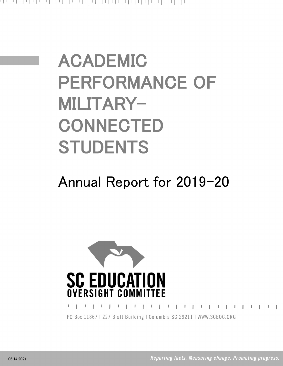# ACADEMIC PERFORMANCE OF MILITARY-**CONNECTED** STUDENTS

## Annual Report for 2019-20



PO Box 11867 | 227 Blatt Building | Columbia SC 29211 | WWW.SCEOC.ORG

 $\mathbf{L}$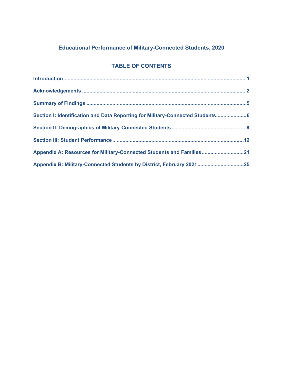## **Educational Performance of Military-Connected Students, 2020**

## **TABLE OF CONTENTS**

| Section I: Identification and Data Reporting for Military-Connected Students 6 |  |
|--------------------------------------------------------------------------------|--|
|                                                                                |  |
|                                                                                |  |
| Appendix A: Resources for Military-Connected Students and Families21           |  |
| Appendix B: Military-Connected Students by District, February 202125           |  |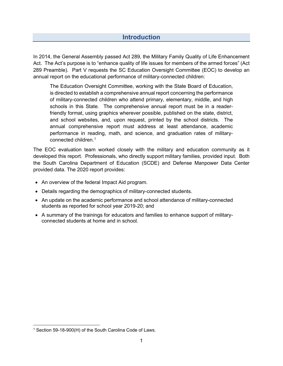## **Introduction**

In 2014, the General Assembly passed Act 289, the Military Family Quality of Life Enhancement Act. The Act's purpose is to "enhance quality of life issues for members of the armed forces" (Act 289 Preamble). Part V requests the SC Education Oversight Committee (EOC) to develop an annual report on the educational performance of military-connected children:

The Education Oversight Committee, working with the State Board of Education, is directed to establish a comprehensive annual report concerning the performance of military-connected children who attend primary, elementary, middle, and high schools in this State. The comprehensive annual report must be in a readerfriendly format, using graphics wherever possible, published on the state, district, and school websites, and, upon request, printed by the school districts. The annual comprehensive report must address at least attendance, academic performance in reading, math, and science, and graduation rates of military-connected children.<sup>[1](#page-2-0)</sup>

The EOC evaluation team worked closely with the military and education community as it developed this report. Professionals, who directly support military families, provided input. Both the South Carolina Department of Education (SCDE) and Defense Manpower Data Center provided data. The 2020 report provides:

- An overview of the federal Impact Aid program.
- Details regarding the demographics of military-connected students.
- An update on the academic performance and school attendance of military-connected students as reported for school year 2019-20; and
- A summary of the trainings for educators and families to enhance support of militaryconnected students at home and in school.

<span id="page-2-0"></span><sup>1</sup> Section 59-18-900(H) of the South Carolina Code of Laws.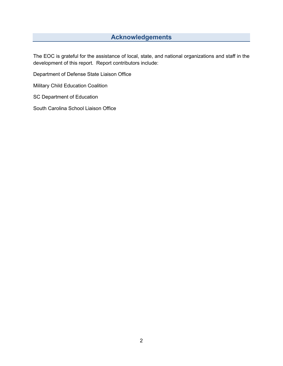## **Acknowledgements**

The EOC is grateful for the assistance of local, state, and national organizations and staff in the development of this report. Report contributors include:

Department of Defense State Liaison Office

Military Child Education Coalition

SC Department of Education

South Carolina School Liaison Office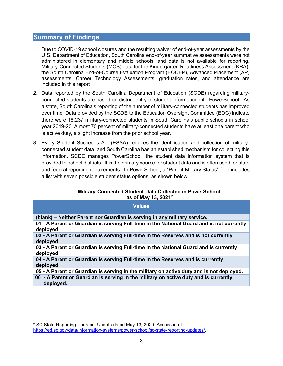#### **Summary of Findings**

- 1. Due to COVID-19 school closures and the resulting waiver of end-of-year assessments by the U.S. Department of Education, South Carolina end-of-year summative assessments were not administered in elementary and middle schools, and data is not available for reporting. Military-Connected Students (MCS) data for the Kindergarten Readiness Assessment (KRA), the South Carolina End-of-Course Evaluation Program (EOCEP), Advanced Placement (AP) assessments, Career Technology Assessments, graduation rates, and attendance are included in this report .
- 2. Data reported by the South Carolina Department of Education (SCDE) regarding militaryconnected students are based on district entry of student information into PowerSchool. As a state, South Carolina's reporting of the number of military-connected students has improved over time. Data provided by the SCDE to the Education Oversight Committee (EOC) indicate there were 18,237 military-connected students in South Carolina's public schools in school year 2019-20. Almost 70 percent of military-connected students have at least one parent who is active duty, a slight increase from the prior school year.
- 3. Every Student Succeeds Act (ESSA) requires the identification and collection of militaryconnected student data, and South Carolina has an established mechanism for collecting this information. SCDE manages PowerSchool, the student data information system that is provided to school districts. It is the primary source for student data and is often used for state and federal reporting requirements. In PowerSchool, a "Parent Military Status" field includes a list with seven possible student status options, as shown below.

#### **Military-Connected Student Data Collected in PowerSchool, as of May 13, 2021[2](#page-4-0)**

| <b>Values</b>                                                                                          |
|--------------------------------------------------------------------------------------------------------|
| (blank) – Neither Parent nor Guardian is serving in any military service.                              |
| 01 - A Parent or Guardian is serving Full-time in the National Guard and is not currently<br>deployed. |
| 02 - A Parent or Guardian is serving Full-time in the Reserves and is not currently<br>deployed.       |
| 03 - A Parent or Guardian is serving Full-time in the National Guard and is currently<br>deployed.     |
| 04 - A Parent or Guardian is serving Full-time in the Reserves and is currently<br>deployed.           |
| 05 - A Parent or Guardian is serving in the military on active duty and is not deployed.               |
| 06 - A Parent or Guardian is serving in the military on active duty and is currently                   |

**deployed.**

<span id="page-4-0"></span><sup>2</sup> SC State Reporting Updates, Update dated May 13, 2020. Accessed at [https://ed.sc.gov/data/information-systems/power-school/sc-state-reporting-updates/.](https://ed.sc.gov/data/information-systems/power-school/sc-state-reporting-updates/)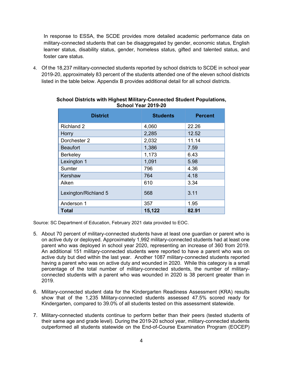In response to ESSA, the SCDE provides more detailed academic performance data on military-connected students that can be disaggregated by gender, economic status, English learner status, disability status, gender, homeless status, gifted and talented status, and foster care status.

4. Of the 18,237 military-connected students reported by school districts to SCDE in school year 2019-20, approximately 83 percent of the students attended one of the eleven school districts listed in the table below. Appendix B provides additional detail for all school districts.

| <b>District</b>      | <b>Students</b> | <b>Percent</b> |
|----------------------|-----------------|----------------|
| <b>Richland 2</b>    | 4,060           | 22.26          |
| Horry                | 2,285           | 12.52          |
| Dorchester 2         | 2,032           | 11.14          |
| <b>Beaufort</b>      | 1,386           | 7.59           |
| Berkeley             | 1,173           | 6.43           |
| Lexington 1          | 1,091           | 5.98           |
| Sumter               | 796             | 4.36           |
| Kershaw              | 764             | 4.18           |
| Aiken                | 610             | 3.34           |
| Lexington/Richland 5 | 568             | 3.11           |
| Anderson 1           | 357             | 1.95           |
| <b>Total</b>         | 15,122          | 82.91          |

#### **School Districts with Highest Military-Connected Student Populations, School Year 2019-20**

Source: SC Department of Education, February 2021 data provided to EOC.

- 5. About 70 percent of military-connected students have at least one guardian or parent who is on active duty or deployed. Approximately 1,992 military-connected students had at least one parent who was deployed in school year 2020, representing an increase of 360 from 2019. An additional 151 military-connected students were reported to have a parent who was on active duty but died within the last year. Another 1087 military-connected students reported having a parent who was on active duty and wounded in 2020. While this category is a small percentage of the total number of military-connected students, the number of militaryconnected students with a parent who was wounded in 2020 is 38 percent greater than in 2019.
- 6. Military-connected student data for the Kindergarten Readiness Assessment (KRA) results show that of the 1,235 Military-connected students assessed 47.5% scored ready for Kindergarten, compared to 39.0% of all students tested on this assessment statewide.
- 7. Military-connected students continue to perform better than their peers (tested students of their same age and grade level). During the 2019-20 school year, military-connected students outperformed all students statewide on the End-of-Course Examination Program (EOCEP)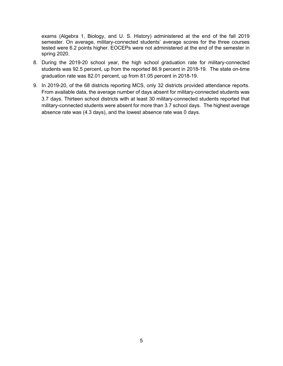exams (Algebra 1, Biology, and U. S. History) administered at the end of the fall 2019 semester. On average, military-connected students' average scores for the three courses tested were 6.2 points higher. EOCEPs were not administered at the end of the semester in spring 2020.

- 8. During the 2019-20 school year, the high school graduation rate for military-connected students was 92.5 percent, up from the reported 86.9 percent in 2018-19. The state on-time graduation rate was 82.01 percent, up from 81.05 percent in 2018-19.
- 9. In 2019-20, of the 68 districts reporting MCS, only 32 districts provided attendance reports. From available data, the average number of days absent for military-connected students was 3.7 days. Thirteen school districts with at least 30 military-connected students reported that military-connected students were absent for more than 3.7 school days. The highest average absence rate was (4.3 days), and the lowest absence rate was 0 days.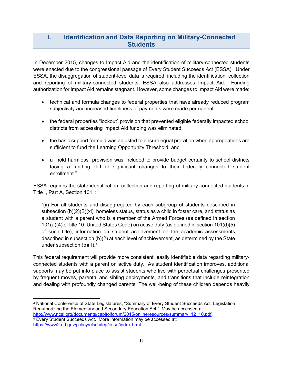## **I. Identification and Data Reporting on Military-Connected Students**

In December 2015, changes to Impact Aid and the identification of military-connected students were enacted due to the congressional passage of Every Student Succeeds Act (ESSA). Under ESSA, the disaggregation of student-level data is required, including the identification, collection and reporting of military-connected students. ESSA also addresses Impact Aid. Funding authorization for Impact Aid remains stagnant. However, some changes to Impact Aid were made:

- technical and formula changes to federal properties that have already reduced program subjectivity and increased timeliness of payments were made permanent.
- the federal properties "lockout" provision that prevented eligible federally impacted school districts from accessing Impact Aid funding was eliminated.
- the basic support formula was adjusted to ensure equal proration when appropriations are sufficient to fund the Learning Opportunity Threshold; and
- a "hold harmless" provision was included to provide budget certainty to school districts facing a funding cliff or significant changes to their federally connected student enrollment.<sup>[3](#page-7-0)</sup>

ESSA requires the state identification, collection and reporting of military-connected students in Title I, Part A, Section 1011:

"(ii) For all students and disaggregated by each subgroup of students described in subsection (b)(2)(B)(xi), homeless status, status as a child in foster care, and status as a student with a parent who is a member of the Armed Forces (as defined in section 101(a)(4) of title 10, United States Code) on active duty (as defined in section 101(d)(5) of such title), information on student achievement on the academic assessments described in subsection (b)(2) at each level of achievement, as determined by the State under subsection  $(b)(1)$ .<sup>[4](#page-7-1)</sup>

This federal requirement will provide more consistent, easily identifiable data regarding militaryconnected students with a parent on active duty. As student identification improves, additional supports may be put into place to assist students who live with perpetual challenges presented by frequent moves, parental and sibling deployments, and transitions that include reintegration and dealing with profoundly changed parents. The well-being of these children depends heavily

<span id="page-7-1"></span><span id="page-7-0"></span><sup>3</sup> National Conference of State Legislatures, "Summary of Every Student Succeeds Act, Legislation Reauthorizing the Elementary and Secondary Education Act." May be accessed at:<br>http://www.ncsl.org/documents/capitolforum/2015/onlineresources/summary 12 10.pdf.  $4$  Every Student Succeeds Act. More information may be accessed at: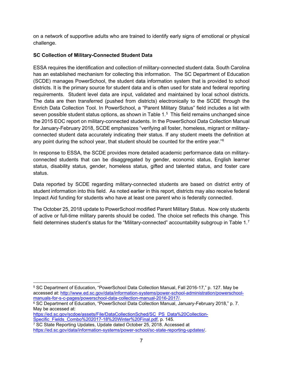on a network of supportive adults who are trained to identify early signs of emotional or physical challenge.

#### **SC Collection of Military-Connected Student Data**

ESSA requires the identification and collection of military-connected student data. South Carolina has an established mechanism for collecting this information. The SC Department of Education (SCDE) manages PowerSchool, the student data information system that is provided to school districts. It is the primary source for student data and is often used for state and federal reporting requirements. Student level data are input, validated and maintained by local school districts. The data are then transferred (pushed from districts) electronically to the SCDE through the Enrich Data Collection Tool. In PowerSchool, a "Parent Military Status" field includes a list with seven possible student status options, as shown in Table 1. [5](#page-8-0) This field remains unchanged since the 2015 EOC report on military-connected students. In the PowerSchool Data Collection Manual for January-February 2018, SCDE emphasizes "verifying all foster, homeless, migrant or militaryconnected student data accurately indicating their status. If any student meets the definition at any point during the school year, that student should be counted for the entire year." $6$ 

In response to ESSA, the SCDE provides more detailed academic performance data on militaryconnected students that can be disaggregated by gender, economic status, English learner status, disability status, gender, homeless status, gifted and talented status, and foster care status.

Data reported by SCDE regarding military-connected students are based on district entry of student information into this field. As noted earlier in this report, districts may also receive federal Impact Aid funding for students who have at least one parent who is federally connected.

The October 25, 2018 update to PowerSchool modified Parent Military Status. Now only students of active or full-time military parents should be coded. The choice set reflects this change. This field determines student's status for the "Military-connected" accountability subgroup in Table 1.<sup>[7](#page-8-2)</sup>

<span id="page-8-0"></span><sup>5</sup> SC Department of Education, "PowerSchool Data Collection Manual, Fall 2016-17," p. 127. May be accessed at: http://www.ed.sc.gov/data/information-systems/power-school-administration/powerschool-<br>manuals-for-s-c-pages/powerschool-data-collection-manual-2016-2017/

<span id="page-8-1"></span> $\frac{6}{6}$  SC Department of Education, "PowerSchool Data Collection Manual, January-February 2018," p. 7. May be accessed at:

[https://ed.sc.gov/scdoe/assets/File/DataCollectionSched/SC\\_PS\\_Data%20Collection-](https://ed.sc.gov/scdoe/assets/File/DataCollectionSched/SC_PS_Data%20Collection-Specific_Fields_Combo%202017-18%20Winter%20Final.pdf)[Specific\\_Fields\\_Combo%202017-18%20Winter%20Final.pdf,](https://ed.sc.gov/scdoe/assets/File/DataCollectionSched/SC_PS_Data%20Collection-Specific_Fields_Combo%202017-18%20Winter%20Final.pdf) p. 145.

<span id="page-8-2"></span><sup>7</sup> SC State Reporting Updates, Update dated October 25, 2018. Accessed at [https://ed.sc.gov/data/information-systems/power-school/sc-state-reporting-updates/.](https://ed.sc.gov/data/information-systems/power-school/sc-state-reporting-updates/)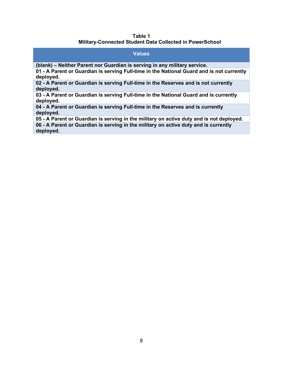#### **Table 1 Military-Connected Student Data Collected in PowerSchool**

#### **Values (blank) – Neither Parent nor Guardian is serving in any military service. 01 - A Parent or Guardian is serving Full-time in the National Guard and is not currently deployed. 02 - A Parent or Guardian is serving Full-time in the Reserves and is not currently deployed. 03 - A Parent or Guardian is serving Full-time in the National Guard and is currently deployed. 04 - A Parent or Guardian is serving Full-time in the Reserves and is currently deployed. 05 - A Parent or Guardian is serving in the military on active duty and is not deployed. 06 - A Parent or Guardian is serving in the military on active duty and is currently**

**deployed.**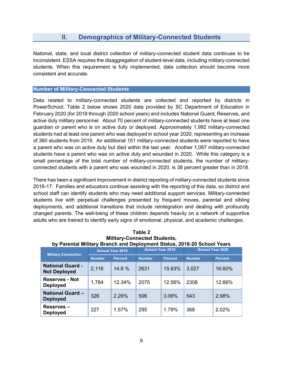## **II. Demographics of Military-Connected Students**

National, state, and local district collection of military-connected student data continues to be inconsistent. ESSA requires the disaggregation of student-level data, including military-connected students. When this requirement is fully implemented, data collection should become more consistent and accurate.

#### **Number of Military-Connected Students**

Data related to military-connected students are collected and reported by districts in PowerSchool. Table 2 below shows 2020 data provided by SC Department of Education in February 2020 (for 2018 through 2020 school years) and includes National Guard, Reserves, and active duty military personnel. About 70 percent of military-connected students have at least one guardian or parent who is on active duty or deployed. Approximately 1,992 military-connected students had at least one parent who was deployed in school year 2020, representing an increase of 360 students from 2019. An additional 151 military-connected students were reported to have a parent who was on active duty but died within the last year. Another 1,087 military-connected students have a parent who was on active duty and wounded in 2020. While this category is a small percentage of the total number of military-connected students, the number of militaryconnected students with a parent who was wounded in 2020, is 38 percent greater than in 2018.

There has been a significant improvement in district reporting of military-connected students since 2016-17. Families and educators continue assisting with the reporting of this data, so district and school staff can identify students who may need additional support services. Military-connected students live with perpetual challenges presented by frequent moves, parental and sibling deployments, and additional transitions that include reintegration and dealing with profoundly changed parents. The well-being of these children depends heavily on a network of supportive adults who are trained to identify early signs of emotional, physical, and academic challenges.

| <b>Military Connection</b>                     | <b>School Year 2018</b> |                | Dy Farental Military Branch and Deployment Status, 2010-20 School Tears<br><b>School Year 2019</b> |                | <b>School Year 2020</b> |                |
|------------------------------------------------|-------------------------|----------------|----------------------------------------------------------------------------------------------------|----------------|-------------------------|----------------|
|                                                | <b>Number</b>           | <b>Percent</b> | <b>Number</b>                                                                                      | <b>Percent</b> | <b>Number</b>           | <b>Percent</b> |
| <b>National Guard -</b><br><b>Not Deployed</b> | 2,116                   | 14.6 %         | 2631                                                                                               | 15.93%         | 3,027                   | 16.60%         |
| <b>Reserves - Not</b><br><b>Deployed</b>       | 1,784                   | 12.34%         | 2075                                                                                               | 12.56%         | 2308                    | 12.66%         |
| <b>National Guard -</b><br><b>Deployed</b>     | 326                     | 2.26%          | 506                                                                                                | 3.06%          | 543                     | 2.98%          |
| <b>Reserves –</b><br><b>Deployed</b>           | 227                     | 1.57%          | 295                                                                                                | 1.79%          | 368                     | 2.02%          |

| Table 2                                                                 |
|-------------------------------------------------------------------------|
| <b>Military-Connected Students,</b>                                     |
| by Parental Military Branch and Deployment Status, 2018-20 School Years |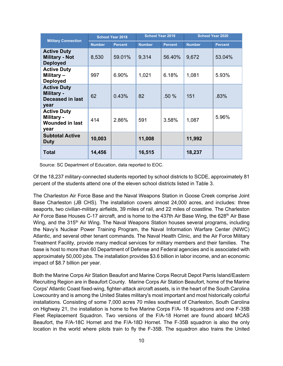|                                                                     |               | <b>School Year 2019</b><br><b>School Year 2018</b> |               |                |               | <b>School Year 2020</b> |
|---------------------------------------------------------------------|---------------|----------------------------------------------------|---------------|----------------|---------------|-------------------------|
| <b>Military Connection</b>                                          | <b>Number</b> | <b>Percent</b>                                     | <b>Number</b> | <b>Percent</b> | <b>Number</b> | <b>Percent</b>          |
| <b>Active Duty</b><br><b>Military - Not</b><br><b>Deployed</b>      | 8,530         | 59.01%                                             | 9,314         | 56.40%         | 9,672         | 53.04%                  |
| <b>Active Duty</b><br>Military-<br><b>Deployed</b>                  | 997           | 6.90%                                              | 1,021         | 6.18%          | 1,081         | 5.93%                   |
| <b>Active Duty</b><br>Military -<br><b>Deceased in last</b><br>year | 62            | 0.43%                                              | 82            | $.50\%$        | 151           | .83%                    |
| <b>Active Duty</b><br>Military -<br><b>Wounded in last</b><br>year  | 414           | 2.86%                                              | 591           | 3.58%          | 1,087         | 5.96%                   |
| <b>Subtotal Active</b><br><b>Duty</b>                               | 10,003        |                                                    | 11,008        |                | 11,992        |                         |
| <b>Total</b>                                                        | 14,456        |                                                    | 16,515        |                | 18,237        |                         |

Source: SC Department of Education, data reported to EOC.

Of the 18,237 military-connected students reported by school districts to SCDE, approximately 81 percent of the students attend one of the eleven school districts listed in Table 3.

The Charleston Air Force Base and the Naval Weapons Station in Goose Creek comprise Joint Base Charleston (JB CHS). The installation covers almost 24,000 acres, and includes: three seaports, two civilian-military airfields, 39 miles of rail, and 22 miles of coastline. The Charleston Air Force Base Houses C-17 aircraft, and is home to the 437th Air Base Wing, the 628<sup>th</sup> Air Base Wing, and the 315<sup>th</sup> Air Wing. The Naval Weapons Station houses several programs, including the Navy's Nuclear Power Training Program, the Naval Information Warfare Center (NIWC) Atlantic, and several other tenant commands. The Naval Health Clinic, and the Air Force Military Treatment Facility, provide many medical services for military members and their families. The base is host to more than 60 Department of Defense and Federal agencies and is associated with approximately 50,000 jobs. The installation provides \$3.6 billion in labor income, and an economic impact of \$8.7 billion per year.

Both the Marine Corps Air Station Beaufort and Marine Corps Recruit Depot Parris Island/Eastern Recruiting Region are in Beaufort County. Marine Corps Air Station Beaufort, home of the Marine Corps' Atlantic Coast fixed-wing, fighter-attack aircraft assets, is in the heart of the South Carolina Lowcountry and is among the United States military's most important and most historically colorful installations. Consisting of some 7,000 acres 70 miles southwest of Charleston, South Carolina on Highway 21, the installation is home to five Marine Corps F/A- 18 squadrons and one F-35B Fleet Replacement Squadron. Two versions of the F/A-18 Hornet are found aboard MCAS Beaufort, the F/A-18C Hornet and the F/A-18D Hornet. The F-35B squadron is also the only location in the world where pilots train to fly the F-35B. The squadron also trains the United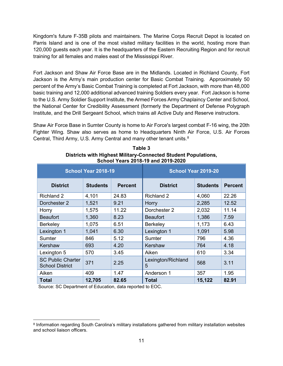Kingdom's future F-35B pilots and maintainers. The Marine Corps Recruit Depot is located on Parris Island and is one of the most visited military facilities in the world, hosting more than 120,000 guests each year. It is the headquarters of the Eastern Recruiting Region and for recruit training for all females and males east of the Mississippi River.

Fort Jackson and Shaw Air Force Base are in the Midlands. Located in Richland County, Fort Jackson is the Army's main production center for Basic Combat Training. Approximately 50 percent of the Army's Basic Combat Training is completed at Fort Jackson, with more than 48,000 basic training and 12,000 additional advanced training Soldiers every year. Fort Jackson is home to the U.S. Army Soldier Support Institute, the Armed Forces Army Chaplaincy Center and School, the National Center for Credibility Assessment (formerly the Department of Defense Polygraph Institute, and the Drill Sergeant School, which trains all Active Duty and Reserve instructors.

Shaw Air Force Base in Sumter County is home to Air Force's largest combat F-16 wing, the 20th Fighter Wing. Shaw also serves as home to Headquarters Ninth Air Force, U.S. Air Forces Central, Third Army, U.S. Army Central and many other tenant units.<sup>[8](#page-12-0)</sup>

| <b>School Year 2018-19</b>                         |                                   |       | <b>School Year 2019-20</b> |                 |                |  |
|----------------------------------------------------|-----------------------------------|-------|----------------------------|-----------------|----------------|--|
| <b>District</b>                                    | <b>Students</b><br><b>Percent</b> |       | <b>District</b>            | <b>Students</b> | <b>Percent</b> |  |
| <b>Richland 2</b>                                  | 4,101                             | 24.83 | <b>Richland 2</b>          | 4,060           | 22.26          |  |
| Dorchester 2                                       | 1,521                             | 9.21  | Horry                      | 2,285           | 12.52          |  |
| Horry                                              | 1,575                             | 11.22 | Dorchester 2               | 2,032           | 11.14          |  |
| <b>Beaufort</b>                                    | 1,360                             | 8.23  | <b>Beaufort</b>            | 1,386           | 7.59           |  |
| <b>Berkeley</b>                                    | 1,075                             | 6.51  | <b>Berkeley</b>            | 1,173           | 6.43           |  |
| Lexington 1                                        | 1,041                             | 6.30  | Lexington 1                | 1,091           | 5.98           |  |
| <b>Sumter</b>                                      | 846                               | 5.12  | Sumter                     | 796             | 4.36           |  |
| Kershaw                                            | 693                               | 4.20  | Kershaw                    | 764             | 4.18           |  |
| Lexington 5                                        | 570                               | 3.45  | Aiken                      | 610             | 3.34           |  |
| <b>SC Public Charter</b><br><b>School District</b> | 371                               | 2.25  | Lexington/Richland<br>5    | 568             | 3.11           |  |
| Aiken                                              | 409                               | 1.47  | Anderson 1                 | 357             | 1.95           |  |
| <b>Total</b>                                       | 12,705                            | 82.65 | <b>Total</b>               | 15,122          | 82.91          |  |

**Table 3 Districts with Highest Military-Connected Student Populations, School Years 2018-19 and 2019-2020**

Source: SC Department of Education, data reported to EOC.

<span id="page-12-0"></span><sup>8</sup> Information regarding South Carolina's military installations gathered from military installation websites and school liaison officers.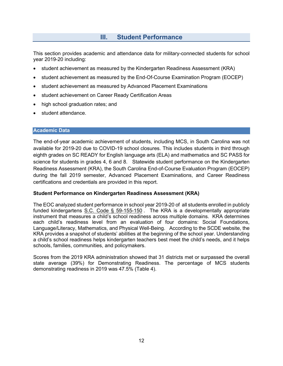## **III. Student Performance**

This section provides academic and attendance data for military-connected students for school year 2019-20 including:

- student achievement as measured by the Kindergarten Readiness Assessment (KRA)
- student achievement as measured by the End-Of-Course Examination Program (EOCEP)
- student achievement as measured by Advanced Placement Examinations
- student achievement on Career Ready Certification Areas
- high school graduation rates; and
- student attendance.

#### **Academic Data**

The end-of-year academic achievement of students, including MCS, in South Carolina was not available for 2019-20 due to COVID-19 school closures. This includes students in third through eighth grades on SC READY for English language arts (ELA) and mathematics and SC PASS for science for students in grades 4, 6 and 8. Statewide student performance on the Kindergarten Readiness Assessment (KRA), the South Carolina End-of-Course Evaluation Program (EOCEP) during the fall 2019 semester, Advanced Placement Examinations, and Career Readiness certifications and credentials are provided in this report.

#### **Student Performance on Kindergarten Readiness Assessment (KRA)**

The EOC analyzed student performance in school year 2019-20 of all students enrolled in publicly funded kindergartens [S.C. Code § 59-155-150](https://www.scstatehouse.gov/code/t59c155.php) . The KRA is a developmentally appropriate instrument that measures a child's school readiness across multiple domains. KRA determines each child's readiness level from an evaluation of four domains: Social Foundations, Language/Literacy, Mathematics, and Physical Well-Being. According to the SCDE website, the KRA provides a snapshot of students' abilities at the beginning of the school year. Understanding a child's school readiness helps kindergarten teachers best meet the child's needs, and it helps schools, families, communities, and policymakers.

Scores from the 2019 KRA administration showed that 31 districts met or surpassed the overall state average (39%) for Demonstrating Readiness. The percentage of MCS students demonstrating readiness in 2019 was 47.5% (Table 4).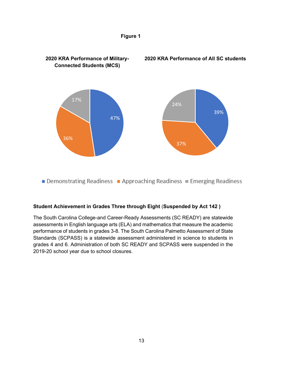

**Figure 1**

#### **Student Achievement in Grades Three through Eight** (**Suspended by Act 142 )**

The South Carolina College-and Career-Ready Assessments (SC READY) are statewide assessments in English language arts (ELA) and mathematics that measure the academic performance of students in grades 3-8. The South Carolina Palmetto Assessment of State Standards (SCPASS) is a statewide assessment administered in science to students in grades 4 and 6. Administration of both SC READY and SCPASS were suspended in the 2019-20 school year due to school closures.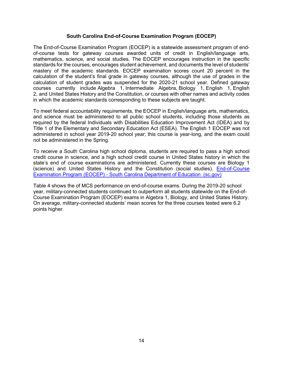#### **South Carolina End-of-Course Examination Program (EOCEP)**

The End-of-Course Examination Program (EOCEP) is a statewide assessment program of endof-course tests for gateway courses awarded units of credit in English/language arts, mathematics, science, and social studies. The EOCEP encourages instruction in the specific standards for the courses, encourages student achievement, and documents the level of students' mastery of the academic standards. EOCEP examination scores count 20 percent in the calculation of the student's final grade in gateway courses, although the use of grades in the calculation of student grades was suspended for the 2020-21 school year. Defined gateway courses currently include Algebra 1, Intermediate Algebra, Biology 1, English 1, English 2, and United States History and the Constitution, or courses with other names and activity codes in which the academic standards corresponding to these subjects are taught.

To meet federal accountability requirements, the EOCEP in English/language arts, mathematics, and science must be administered to all public school students, including those students as required by the federal Individuals with Disabilities Education Improvement Act (IDEA) and by Title 1 of the Elementary and Secondary Education Act (ESEA). The English 1 EOCEP was not administered in school year 2019-20 school year; this course is year-long, and the exam could not be administered in the Spring.

To receive a South Carolina high school diploma, students are required to pass a high school credit course in science, and a high school credit course in United States history in which the state's end of course examinations are administered. Currently these courses are Biology 1 (science) and United States History and the Constitution (social studies). [End-of-Course](https://ed.sc.gov/tests/high/eocep/)  Examination Program (EOCEP) - [South Carolina Department of Education \(sc.gov\)](https://ed.sc.gov/tests/high/eocep/)

Table 4 shows the of MCS performance on end-of-course exams. During the 2019-20 school year, military-connected students continued to outperform all students statewide on the End-of-Course Examination Program (EOCEP) exams in Algebra 1, Biology, and United States History. On average, military-connected students' mean scores for the three courses tested were 6.2 points higher.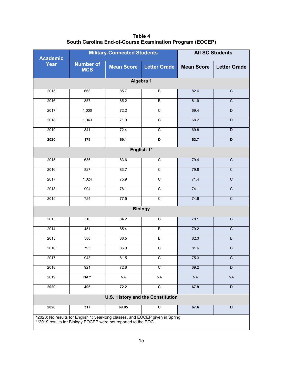| Table 4                                                  |  |  |  |  |  |
|----------------------------------------------------------|--|--|--|--|--|
| South Carolina End-of-Course Examination Program (EOCEP) |  |  |  |  |  |

| <b>Academic</b>                                                                                                                                 |                                | <b>Military-Connected Students</b> | <b>All SC Students</b>                   |                   |                     |  |  |  |
|-------------------------------------------------------------------------------------------------------------------------------------------------|--------------------------------|------------------------------------|------------------------------------------|-------------------|---------------------|--|--|--|
| <b>Year</b>                                                                                                                                     | <b>Number of</b><br><b>MCS</b> | <b>Mean Score</b>                  | <b>Letter Grade</b>                      | <b>Mean Score</b> | <b>Letter Grade</b> |  |  |  |
|                                                                                                                                                 | Algebra 1                      |                                    |                                          |                   |                     |  |  |  |
| 2015                                                                                                                                            | 668                            | 85.7                               | $\overline{B}$                           | 82.6              | $\overline{C}$      |  |  |  |
| 2016                                                                                                                                            | 857                            | 85.2                               | B                                        | 81.9              | $\overline{C}$      |  |  |  |
| 2017                                                                                                                                            | 1,000                          | 72.2                               | $\mathsf C$                              | 69.4              | D                   |  |  |  |
| 2018                                                                                                                                            | 1,043                          | 71.9                               | $\overline{\text{c}}$                    | 68.2              | D                   |  |  |  |
| 2019                                                                                                                                            | 841                            | 72.4                               | $\mathsf C$                              | 69.8              | D                   |  |  |  |
| 2020                                                                                                                                            | 179                            | 69.1                               | D                                        | 63.7              | D                   |  |  |  |
|                                                                                                                                                 |                                |                                    | English 1*                               |                   |                     |  |  |  |
| 2015                                                                                                                                            | 636                            | 83.6                               | $\overline{c}$                           | 79.4              | $\overline{C}$      |  |  |  |
| 2016                                                                                                                                            | 827                            | 83.7                               | $\overline{\text{c}}$                    | 79.8              | $\overline{C}$      |  |  |  |
| 2017                                                                                                                                            | 1,024                          | 75.9                               | $\overline{\text{c}}$                    | 71.4              | $\overline{C}$      |  |  |  |
| 2018                                                                                                                                            | 994                            | 78.1                               | $\overline{c}$                           | 74.1              | $\overline{C}$      |  |  |  |
| 2019                                                                                                                                            | 724                            | 77.5                               | $\overline{c}$                           | 74.6              | $\overline{C}$      |  |  |  |
|                                                                                                                                                 |                                |                                    | <b>Biology</b>                           |                   |                     |  |  |  |
| 2013                                                                                                                                            | 310                            | 84.2                               | $\overline{c}$                           | 78.1              | $\mathbf C$         |  |  |  |
| 2014                                                                                                                                            | 451                            | 85.4                               | $\overline{B}$                           | 79.2              | $\overline{C}$      |  |  |  |
| 2015                                                                                                                                            | 580                            | 86.5                               | $\sf B$                                  | 82.3              | $\sf B$             |  |  |  |
| 2016                                                                                                                                            | 795                            | 86.9                               | $\overline{c}$                           | 81.6              | $\overline{C}$      |  |  |  |
| 2017                                                                                                                                            | 943                            | 81.5                               | С                                        | 75.3              | C                   |  |  |  |
| 2018                                                                                                                                            | 921                            | 72.8                               | $\overline{c}$                           | 69.2              | D                   |  |  |  |
| 2019                                                                                                                                            | NA**                           | <b>NA</b>                          | <b>NA</b>                                | <b>NA</b>         | NA                  |  |  |  |
| 2020                                                                                                                                            | 406                            | 72.2                               | $\overline{c}$                           | 67.9              | $\overline{D}$      |  |  |  |
|                                                                                                                                                 |                                |                                    | <b>U.S. History and the Constitution</b> |                   |                     |  |  |  |
| 2020                                                                                                                                            | 317                            | 69.05                              | $\overline{c}$                           | 67.6              | D                   |  |  |  |
| *2020: No results for English 1: year-long classes, and EOCEP given in Spring<br>**2019 results for Biology EOCEP were not reported to the EOC. |                                |                                    |                                          |                   |                     |  |  |  |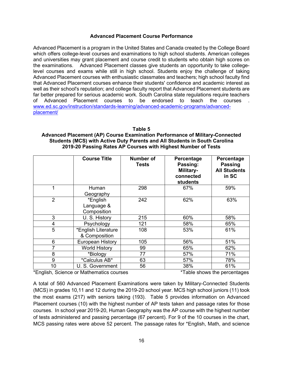#### **Advanced Placement Course Performance**

Advanced Placement is a program in the United States and Canada created by the College Board which offers college-level courses and examinations to high school students. American colleges and universities may grant placement and course credit to students who obtain high scores on the examinations. Advanced Placement classes give students an opportunity to take collegelevel courses and exams while still in high school. Students enjoy the challenge of taking Advanced Placement courses with enthusiastic classmates and teachers; high school faculty find that Advanced Placement courses enhance their students' confidence and academic interest as well as their school's reputation; and college faculty report that Advanced Placement students are far better prepared for serious academic work. South Carolina state regulations require teachers of Advanced Placement courses to be endorsed to teach the courses . [www.ed.sc.gov/instruction/standards-learning/advanced-academic-programs/advanced](http://www.ed.sc.gov/instruction/standards-learning/advanced-academic-programs/advanced-placement/)[placement/](http://www.ed.sc.gov/instruction/standards-learning/advanced-academic-programs/advanced-placement/)

#### **Table 5**

#### **Advanced Placement (AP) Course Examination Performance of Military-Connected Students (MCS) with Active Duty Parents and All Students in South Carolina 2019-20 Passing Rates AP Courses with Highest Number of Tests**

|                | <b>Course Title</b>                                                        | Number of<br><b>Tests</b> | Percentage<br>Passing:<br>Military-<br>connected<br><b>students</b> | Percentage<br><b>Passing</b><br><b>All Students</b><br>in SC |
|----------------|----------------------------------------------------------------------------|---------------------------|---------------------------------------------------------------------|--------------------------------------------------------------|
| 1              | Human<br>Geography                                                         | 298                       | 67%                                                                 | 59%                                                          |
| $\overline{2}$ | *English<br>Language &<br>Composition                                      | 242                       | 62%                                                                 | 63%                                                          |
| 3              | U. S. History                                                              | 215                       | 60%                                                                 | 58%                                                          |
| 4              | Psychology                                                                 | 121                       | 58%                                                                 | 65%                                                          |
| 5              | *English Literature<br>& Composition                                       | 108                       | 53%                                                                 | 61%                                                          |
| 6              | European History                                                           | 105                       | 56%                                                                 | 51%                                                          |
|                | <b>World History</b>                                                       | 99                        | 65%                                                                 | 62%                                                          |
| 8              | *Biology                                                                   | 77                        | 57%                                                                 | 71%                                                          |
| 9              | *Calculus AB*                                                              | 63                        | 57%                                                                 | 78%                                                          |
| 10             | U. S. Government<br>$\star$ $\Gamma$ polich Coichae ar Mathematics courses | 56                        | 38%                                                                 | 61%<br>$\star$ Tabla abaus the neresptess                    |

\*English, Science or Mathematics courses \*Table shows the percentages

A total of 560 Advanced Placement Examinations were taken by Military-Connected Students (MCS) in grades 10,11 and 12 during the 2019-20 school year. MCS high school juniors (11) took the most exams (217) with seniors taking (193). Table 5 provides information on Advanced Placement courses (10) with the highest number of AP tests taken and passage rates for those courses. In school year 2019-20, Human Geography was the AP course with the highest number of tests administered and passing percentage (67 percent). For 9 of the 10 courses in the chart, MCS passing rates were above 52 percent. The passage rates for \*English, Math, and science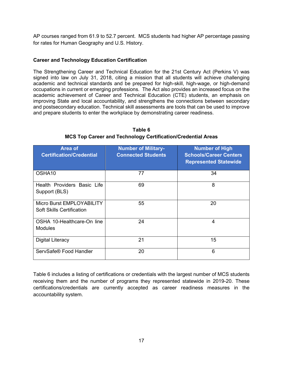AP courses ranged from 61.9 to 52.7 percent. MCS students had higher AP percentage passing for rates for Human Geography and U.S. History.

#### **Career and Technology Education Certification**

The Strengthening Career and Technical Education for the 21st Century Act (Perkins V) was signed into law on July 31, 2018, citing a mission that all students will achieve challenging academic and technical standards and be prepared for high-skill, high-wage, or high-demand occupations in current or emerging professions. The Act also provides an increased focus on the academic achievement of Career and Technical Education (CTE) students, an emphasis on improving State and local accountability, and strengthens the connections between secondary and postsecondary education. Technical skill assessments are tools that can be used to improve and prepare students to enter the workplace by demonstrating career readiness.

| Area of<br><b>Certification/Credential</b>                    | <b>Number of Military-</b><br><b>Connected Students</b> | <b>Number of High</b><br><b>Schools/Career Centers</b><br><b>Represented Statewide</b> |
|---------------------------------------------------------------|---------------------------------------------------------|----------------------------------------------------------------------------------------|
| OSHA <sub>10</sub>                                            | 77                                                      | 34                                                                                     |
| Health Providers Basic Life<br>Support (BLS)                  | 69                                                      | 8                                                                                      |
| Micro Burst EMPLOYABILITY<br><b>Soft Skills Certification</b> | 55                                                      | 20                                                                                     |
| OSHA 10-Healthcare-On line<br><b>Modules</b>                  | 24                                                      | 4                                                                                      |
| Digital Literacy                                              | 21                                                      | 15                                                                                     |
| ServSafe® Food Handler                                        | 20                                                      | 6                                                                                      |

**Table 6 MCS Top Career and Technology Certification/Credential Areas**

Table 6 includes a listing of certifications or credentials with the largest number of MCS students receiving them and the number of programs they represented statewide in 2019-20. These certifications/credentials are currently accepted as career readiness measures in the accountability system.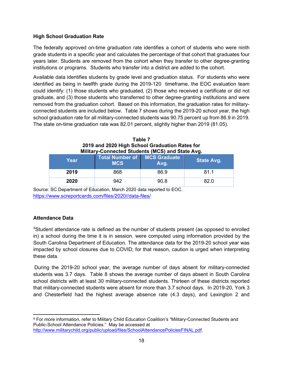#### **High School Graduation Rate**

The federally approved on-time graduation rate identifies a cohort of students who were ninth grade students in a specific year and calculates the percentage of that cohort that graduates four years later. Students are removed from the cohort when they transfer to other degree-granting institutions or programs. Students who transfer into a district are added to the cohort.

Available data identifies students by grade level and graduation status. For students who were identified as being in twelfth grade during the 2019-120 timeframe, the EOC evaluation team could identify: (1) those students who graduated, (2) those who received a certificate or did not graduate, and (3) those students who transferred to other degree-granting institutions and were removed from the graduation cohort. Based on this information, the graduation rates for militaryconnected students are included below. Table 7 shows during the 2019-20 school year, the high school graduation rate for all military-connected students was 90.75 percent up from 86.9 in 2019. The state on-time graduation rate was 82.01 percent, slightly higher than 2019 (81.05).

| 2019 and 2020 High School Graduation Rates for<br>Military-Connected Students (MCS) and State Avg. |                                                   |      |                   |  |  |  |
|----------------------------------------------------------------------------------------------------|---------------------------------------------------|------|-------------------|--|--|--|
| Year                                                                                               | <b>Total Number of MCS Graduate</b><br><b>MCS</b> | Avg. | <b>State Avg.</b> |  |  |  |
| 2019                                                                                               | 868                                               | 86.9 | 81.1              |  |  |  |
| 2020                                                                                               | 942                                               | 90.8 | 82 O              |  |  |  |

**Table 7**

Source: SC Department of Education, March 2020 data reported to EOC. [https://www.screportcards.com/files/2020//data-files/](https://gcc02.safelinks.protection.outlook.com/?url=https%3A%2F%2Fwww.screportcards.com%2Ffiles%2F2020%2Fdata-files%2F&data=04%7C01%7CVHarrison%40eoc.sc.gov%7C66487d2f8b584c2dbfdc08d900da55c1%7Ce9f8d01480d84f27b0d6c3d6c085fcdd%7C1%7C0%7C637541760010830668%7CUnknown%7CTWFpbGZsb3d8eyJWIjoiMC4wLjAwMDAiLCJQIjoiV2luMzIiLCJBTiI6Ik1haWwiLCJXVCI6Mn0%3D%7C1000&sdata=p9BmxdJtqfSJCRDS%2BZfnQyJJhyZvtZAn2Izntbh271M%3D&reserved=0)

#### **Attendance Data**

<sup>[9](#page-19-0)</sup>Student attendance rate is defined as the number of students present (as opposed to enrolled in) a school during the time it is in session, were computed using information provided by the South Carolina Department of Education. The attendance data for the 2019-20 school year was impacted by school closures due to COVID; for that reason, caution is urged when interpreting these data.

During the 2019-20 school year, the average number of days absent for military-connected students was 3.7 days. Table 8 shows the average number of days absent in South Carolina school districts with at least 30 military-connected students. Thirteen of these districts reported that military-connected students were absent for more than 3.7 school days. In 2019-20, York 3 and Chesterfield had the highest average absence rate (4.3 days), and Lexington 2 and

<span id="page-19-0"></span><sup>9</sup> For more information, refer to Military Child Education Coalition's "Military-Connected Students and Public-School Attendance Policies." May be accessed at [http://www.militarychild.org/public/upload/files/SchoolAttendancePoliciesFINAL.pdf.](http://www.militarychild.org/public/upload/files/SchoolAttendancePoliciesFINAL.pdf)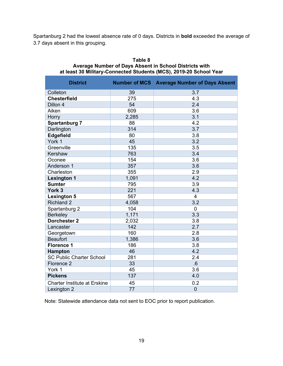Spartanburg 2 had the lowest absence rate of 0 days. Districts in **bold** exceeded the average of 3.7 days absent in this grouping.

| <b>District</b>                     |                 | <b>Number of MCS Average Number of Days Absent</b> |
|-------------------------------------|-----------------|----------------------------------------------------|
| Colleton                            | 39              | 3.7                                                |
| <b>Chesterfield</b>                 | 275             | 4.3                                                |
| Dillon 4                            | 54              | 2.4                                                |
| Aiken                               | 609             | 3.6                                                |
| Horry                               | 2,285           | 3.1                                                |
| <b>Spartanburg 7</b>                | 88              | 4.2                                                |
| Darlington                          | 314             | 3.7                                                |
| Edgefield                           | 80              | 3.8                                                |
| York 1                              | 45              | 3.2                                                |
| Greenville                          | 135             | 3.5                                                |
| Kershaw                             | 763             | 3.4                                                |
| Oconee                              | 154             | 3.6                                                |
| Anderson 1                          | 357             | 3.6                                                |
| Charleston                          | 355             | 2.9                                                |
| <b>Lexington 1</b>                  | 1,091           | 4.2                                                |
| <b>Sumter</b>                       | 795             | 3.9                                                |
| York 3                              | 221             | 4.3                                                |
| <b>Lexington 5</b>                  | 567             | $\overline{4}$                                     |
| <b>Richland 2</b>                   | 4,058           | 3.2                                                |
| Spartanburg 2                       | 104             | $\mathbf 0$                                        |
| <b>Berkeley</b>                     | 1,171           | 3.3                                                |
| <b>Dorchester 2</b>                 | 2,032           | 3.8                                                |
| Lancaster                           | 142             | 2.7                                                |
| Georgetown                          | 160             | 2.8                                                |
| <b>Beaufort</b>                     | 1,386           | 3.6                                                |
| <b>Florence 1</b>                   | 186             | 3.8                                                |
| <b>Hampton</b>                      | 46              | 4.2                                                |
| <b>SC Public Charter School</b>     | 281             | 2.4                                                |
| Florence 2                          | 33              | .6                                                 |
| York 1                              | 45              | 3.6                                                |
| <b>Pickens</b>                      | 137             | 4.0                                                |
| <b>Charter Institute at Erskine</b> | 45              | 0.2                                                |
| Lexington 2                         | $\overline{77}$ | $\overline{0}$                                     |

#### **Table 8 Average Number of Days Absent in School Districts with at least 30 Military-Connected Students (MCS), 2019-20 School Year**

Note: Statewide attendance data not sent to EOC prior to report publication.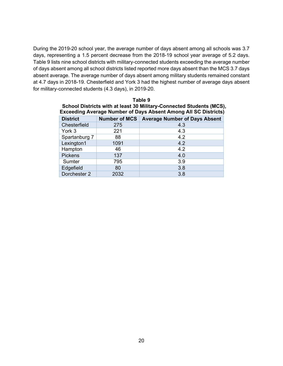During the 2019-20 school year, the average number of days absent among all schools was 3.7 days, representing a 1.5 percent decrease from the 2018-19 school year average of 5.2 days. Table 9 lists nine school districts with military-connected students exceeding the average number of days absent among all school districts listed reported more days absent than the MCS 3.7 days absent average. The average number of days absent among military students remained constant at 4.7 days in 2018-19. Chesterfield and York 3 had the highest number of average days absent for military-connected students (4.3 days), in 2019-20.

| Table 9<br>School Districts with at least 30 Military-Connected Students (MCS),                                                            |      |     |  |  |  |  |  |
|--------------------------------------------------------------------------------------------------------------------------------------------|------|-----|--|--|--|--|--|
| <b>Exceeding Average Number of Days Absent Among All SC Districts)</b><br>Number of MCS   Average Number of Days Absent<br><b>District</b> |      |     |  |  |  |  |  |
| Chesterfield                                                                                                                               | 275  | 4.3 |  |  |  |  |  |
| York 3                                                                                                                                     | 221  | 4.3 |  |  |  |  |  |
| Spartanburg 7                                                                                                                              | 88   | 4.2 |  |  |  |  |  |
| Lexington1                                                                                                                                 | 1091 | 4.2 |  |  |  |  |  |
| Hampton                                                                                                                                    | 46   | 4.2 |  |  |  |  |  |
| <b>Pickens</b>                                                                                                                             | 137  | 4.0 |  |  |  |  |  |
| Sumter                                                                                                                                     | 795  | 3.9 |  |  |  |  |  |
| Edgefield                                                                                                                                  | 80   | 3.8 |  |  |  |  |  |
| Dorchester 2                                                                                                                               | 2032 | 3.8 |  |  |  |  |  |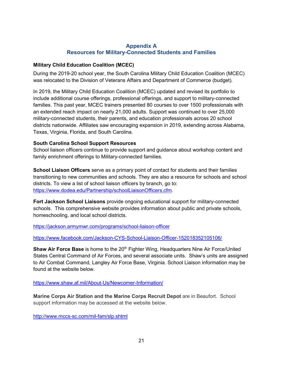#### **Appendix A Resources for Military-Connected Students and Families**

#### **Military Child Education Coalition (MCEC)**

During the 2019-20 school year, the South Carolina Military Child Education Coalition (MCEC) was relocated to the Division of Veterans Affairs and Department of Commerce (budget).

In 2019, the Military Child Education Coalition (MCEC) updated and revised its portfolio to include additional course offerings, professional offerings, and support to military-connected families. This past year, MCEC trainers presented 80 courses to over 1500 professionals with an extended reach impact on nearly 21,000 adults. Support was continued to over 25,000 military-connected students, their parents, and education professionals across 20 school districts nationwide. Affiliates saw encouraging expansion in 2019, extending across Alabama, Texas, Virginia, Florida, and South Carolina.

#### **South Carolina School Support Resources**

School liaison officers continue to provide support and guidance about workshop content and family enrichment offerings to Military-connected families.

**School Liaison Officers** serve as a primary point of contact for students and their families transitioning to new communities and schools. They are also a resource for schools and school districts. To view a list of school liaison officers by branch, go to: [https://www.dodea.edu/Partnership/schoolLiaisonOfficers.cfm.](https://www.dodea.edu/Partnership/schoolLiaisonOfficers.cfm)

**Fort Jackson School Liaisons** provide ongoing educational support for military-connected schools. This comprehensive website provides information about public and private schools, homeschooling, and local school districts.

<https://jackson.armymwr.com/programs/school-liaison-officer>

<https://www.facebook.com/Jackson-CYS-School-Liaison-Officer-152018352105106/>

**Shaw Air Force Base** is home to the 20<sup>th</sup> Fighter Wing, Headquarters Nine Air Force/United States Central Command of Air Forces, and several associate units. Shaw's units are assigned to Air Combat Command, Langley Air Force Base, Virginia. School Liaison information may be found at the website below.

<https://www.shaw.af.mil/About-Us/Newcomer-Information/>

**Marine Corps Air Station and the Marine Corps Recruit Depot** are in Beaufort. School support information may be accessed at the website below.

<http://www.mccs-sc.com/mil-fam/slp.shtml>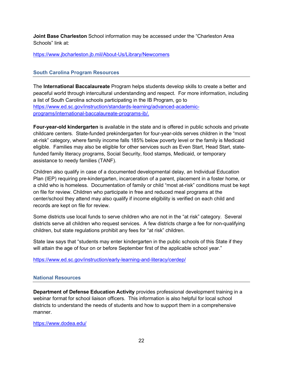**Joint Base Charleston** School information may be accessed under the "Charleston Area Schools" link at:

<https://www.jbcharleston.jb.mil/About-Us/Library/Newcomers>

#### **South Carolina Program Resources**

The **International Baccalaureate** Program helps students develop skills to create a better and peaceful world through intercultural understanding and respect. For more information, including a list of South Carolina schools participating in the IB Program, go to [https://www.ed.sc.gov/instruction/standards-learning/advanced-academic](https://www.ed.sc.gov/instruction/standards-learning/advanced-academic-programs/international-baccalaureate-programs-ib/)[programs/international-baccalaureate-programs-ib/.](https://www.ed.sc.gov/instruction/standards-learning/advanced-academic-programs/international-baccalaureate-programs-ib/)

**Four-year-old kindergarten** is available in the state and is offered in public schools and private childcare centers. State-funded prekindergarten for four-year-olds serves children in the "most at-risk" category, where family income falls 185% below poverty level or the family is Medicaid eligible. Families may also be eligible for other services such as Even Start, Head Start, statefunded family literacy programs, Social Security, food stamps, Medicaid, or temporary assistance to needy families (TANF).

Children also qualify in case of a documented developmental delay, an Individual Education Plan (IEP) requiring pre-kindergarten, incarceration of a parent, placement in a foster home, or a child who is homeless. Documentation of family or child "most at-risk" conditions must be kept on file for review. Children who participate in free and reduced meal programs at the center/school they attend may also qualify if income eligibility is verified on each child and records are kept on file for review.

Some districts use local funds to serve children who are not in the "at risk" category. Several districts serve all children who request services. A few districts charge a fee for non-qualifying children, but state regulations prohibit any fees for "at risk" children.

State law says that "students may enter kindergarten in the public schools of this State if they will attain the age of four on or before September first of the applicable school year."

<https://www.ed.sc.gov/instruction/early-learning-and-literacy/cerdep/>

#### **National Resources**

**Department of Defense Education Activity** provides professional development training in a webinar format for school liaison officers. This information is also helpful for local school districts to understand the needs of students and how to support them in a comprehensive manner.

<https://www.dodea.edu/>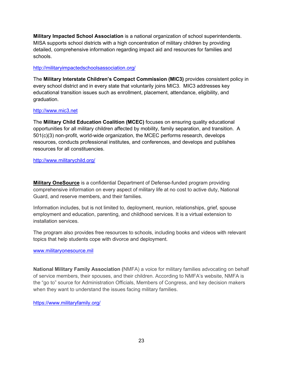**Military Impacted School Association** is a national organization of school superintendents. MISA supports school districts with a high concentration of military children by providing detailed, comprehensive information regarding impact aid and resources for families and schools.

#### <http://militaryimpactedschoolsassociation.org/>

The **Military Interstate Children's Compact Commission (MIC3)** provides consistent policy in every school district and in every state that voluntarily joins MIC3. MIC3 addresses key educational transition issues such as enrollment, placement, attendance, eligibility, and graduation.

#### [http://www.mic3.net](http://www.mic3.net/)

The **Military Child Education Coalition (MCEC)** focuses on ensuring quality educational opportunities for all military children affected by mobility, family separation, and transition. A 501(c)(3) non-profit, world-wide organization, the MCEC performs research, develops resources, conducts professional institutes, and conferences, and develops and publishes resources for all constituencies.

#### <http://www.militarychild.org/>

**Military OneSource** is a confidential Department of Defense-funded program providing comprehensive information on every aspect of military life at no cost to active duty, National Guard, and reserve members, and their families.

Information includes, but is not limited to, deployment, reunion, relationships, grief, spouse employment and education, parenting, and childhood services. It is a virtual extension to installation services.

The program also provides free resources to schools, including books and videos with relevant topics that help students cope with divorce and deployment.

#### [www.militaryonesource.mil](http://www.militaryonesource.mil/)

**National Military Family Association (**NMFA) a voice for military families advocating on behalf of service members, their spouses, and their children. According to NMFA's website, NMFA is the "go to" source for Administration Officials, Members of Congress, and key decision makers when they want to understand the issues facing military families.

<https://www.militaryfamily.org/>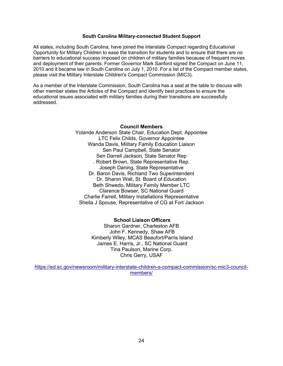#### **South Carolina Military-connected Student Support**

All states, including South Carolina, have joined the Interstate Compact regarding Educational Opportunity for Military Children to ease the transition for students and to ensure that there are no barriers to educational success imposed on children of military families because of frequent moves and deployment of their parents. Former Governor Mark Sanford signed the Compact on June 11, 2010 and it became law in South Carolina on July 1, 2010. For a list of the Compact member states, please visit the Military Interstate Children's Compact Commission (MIC3).

As a member of the Interstate Commission, South Carolina has a seat at the table to discuss with other member states the Articles of the Compact and identify best practices to ensure the educational issues associated with military families during their transitions are successfully addressed.

#### **Council Members**

Yolande Anderson State Chair, Education Dept. Appointee LTC Felix Childs, Governor Appointee Wanda Davis, Military Family Education Liaison Sen Paul Campbell, State Senator Sen Darrell Jackson, State Senator Rep . Robert Brown, State Representative Rep. Joseph Daning, State Representative Dr. Baron Davis, Richland Two Superintendent Dr. Sharon Wall, St. Board of Education Beth Shwedo, Military Family Member LTC Clarence Bowser, SC National Guard Charlie Farrell, Military Installations Representative Sheila J Spouse, Representative of CG at Fort Jackson

#### **School Liaison Officers**

Sharon Gardner, Charleston AFB John F. Kennedy, Shaw AFB Kimberly Wiley, MCAS Beaufort/Parris Island James E. Harris, Jr., SC National Guard Tina Paulson, Marine Corp. Chris Gerry, USAF

[https://ed.sc.gov/newsroom/military-interstate-children-s-compact-commission/sc-mic3-council](https://ed.sc.gov/newsroom/military-interstate-children-s-compact-commission/sc-mic3-council-members/)[members/](https://ed.sc.gov/newsroom/military-interstate-children-s-compact-commission/sc-mic3-council-members/)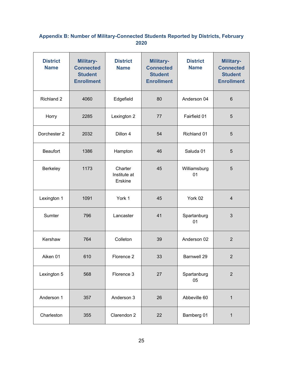### **Appendix B: Number of Military-Connected Students Reported by Districts, February 2020**

| <b>District</b><br><b>Name</b> | <b>Military-</b><br><b>Connected</b><br><b>Student</b><br><b>Enrollment</b> | <b>District</b><br><b>Name</b>     | <b>Military-</b><br><b>Connected</b><br><b>Student</b><br><b>Enrollment</b> | <b>District</b><br><b>Name</b> | <b>Military-</b><br><b>Connected</b><br><b>Student</b><br><b>Enrollment</b> |
|--------------------------------|-----------------------------------------------------------------------------|------------------------------------|-----------------------------------------------------------------------------|--------------------------------|-----------------------------------------------------------------------------|
| Richland 2                     | 4060                                                                        | Edgefield                          | 80                                                                          | Anderson 04                    | $6\phantom{1}6$                                                             |
| Horry                          | 2285                                                                        | Lexington 2                        | 77                                                                          | Fairfield 01                   | $\overline{5}$                                                              |
| Dorchester 2                   | 2032                                                                        | Dillon 4                           | 54                                                                          | Richland 01                    | 5                                                                           |
| <b>Beaufort</b>                | 1386                                                                        | Hampton                            | 46                                                                          | Saluda 01                      | 5                                                                           |
| Berkeley                       | 1173                                                                        | Charter<br>Institute at<br>Erskine | 45                                                                          | Williamsburg<br>01             | 5                                                                           |
| Lexington 1                    | 1091                                                                        | York 1                             | 45                                                                          | York 02                        | $\overline{4}$                                                              |
| Sumter                         | 796                                                                         | Lancaster                          | 41                                                                          | Spartanburg<br>01              | 3                                                                           |
| Kershaw                        | 764                                                                         | Colleton                           | 39                                                                          | Anderson 02                    | $\overline{2}$                                                              |
| Aiken 01                       | 610                                                                         | Florence 2                         | 33                                                                          | Barnwell 29                    | $\overline{2}$                                                              |
| Lexington 5                    | 568                                                                         | Florence 3                         | 27                                                                          | Spartanburg<br>05              | $\overline{2}$                                                              |
| Anderson 1                     | 357                                                                         | Anderson 3                         | 26                                                                          | Abbeville 60                   | $\mathbf{1}$                                                                |
| Charleston                     | 355                                                                         | Clarendon 2                        | 22                                                                          | Bamberg 01                     | $\mathbf{1}$                                                                |